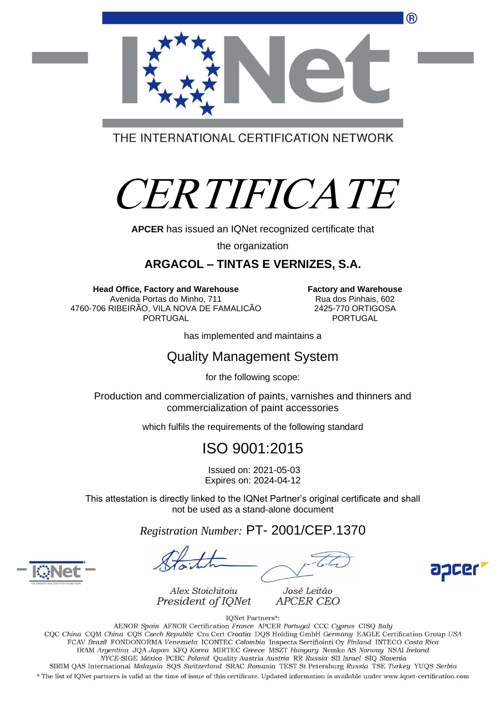

# CERTIFICATE

**APCER** has issued an IQNet recognized certificate that

the organization

#### **ARGACOL – TINTAS E VERNIZES, S.A.**

**Head Office, Factory and Warehouse** Avenida Portas do Minho, 711 4760-706 RIBEIRÃO, VILA NOVA DE FAMALICÃO PORTUGAL

**Factory and Warehouse** Rua dos Pinhais, 602 2425-770 ORTIGOSA PORTUGAL

has implemented and maintains a

#### Quality Management System

for the following scope:

Production and commercialization of paints, varnishes and thinners and commercialization of paint accessories

which fulfils the requirements of the following standard

### ISO 9001:2015

Issued on: 2021-05-03 Expires on: 2024-04-12

This attestation is directly linked to the IQNet Partner's original certificate and shall not be used as a stand-alone document

*Registration Number:* PT- 2001/CEP.1370

José Leitão **APCER CEO** 



Alex Stoichitoiu President of IQNet

**IQNet Partners\*:** 

AENOR Spain AFNOR Certification France APCER Portugal CCC Cyprus CISQ Italy CQC China CQM China CQS Czech Republic Cro Cert Croatia DQS Holding GmbH Germany EAGLE Certification Group USA FCAV Brazil FONDONORMA Venezuela ICONTEC Colombia Inspecta Sertifiointi Oy Finland INTECO Costa Rica IRAM Argentina JQA Japan KFQ Korea MIRTEC Greece MSZT Hungary Nemko AS Norway NSAI Ireland NYCE-SIGE México PCBC Poland Quality Austria Austria RR Russia SII Israel SIQ Slovenia SIRIM QAS International Malaysia SQS Switzerland SRAC Romania TEST St Petersburg Russia TSE Turkey YUQS Serbia

\* The list of IQNet partners is valid at the time of issue of this certificate. Updated information is available under www.iqnet-certification.com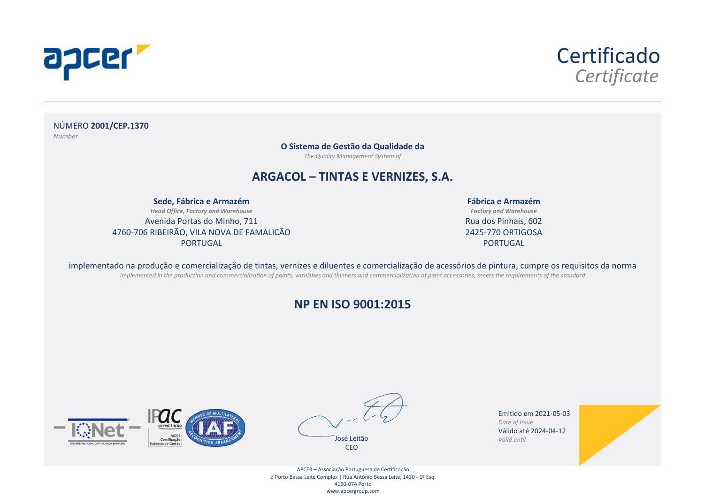



NÚMERO **2001/CEP.1370** *Number*

**O Sistema de Gestão da Qualidade da**

*The Quality Management System of*

#### **ARGACOL – TINTAS E VERNIZES, S.A.**

**Sede, Fábrica e Armazém** *Head Office, Factory and Warehouse* Avenida Portas do Minho, 711 4760-706 RIBEIRÃO, VILA NOVA DE FAMALICÃO PORTUGAL

**Fábrica e Armazém** *Factory and Warehouse* Rua dos Pinhais, 602 2425-770 ORTIGOSA PORTUGAL

implementado na produção e comercialização de tintas, vernizes e diluentes e comercialização de acessórios de pintura, cumpre os requisitos da norma *implemented in the production and commercialization of paints, varnishes and thinners and commercialization of paint accessories, meets the requirements of the standard*

#### **NP EN ISO 9001:2015**





Emitido em 2021-05-03 *Date of issue* Válido até 2024-04-12 *Valid until*



APCER – Associação Portuguesa de Certificação o'Porto Bessa Leite Complex | Rua António Bessa Leite, 1430 - 1º Esq. 4150-074 Porto www.apcergroup.com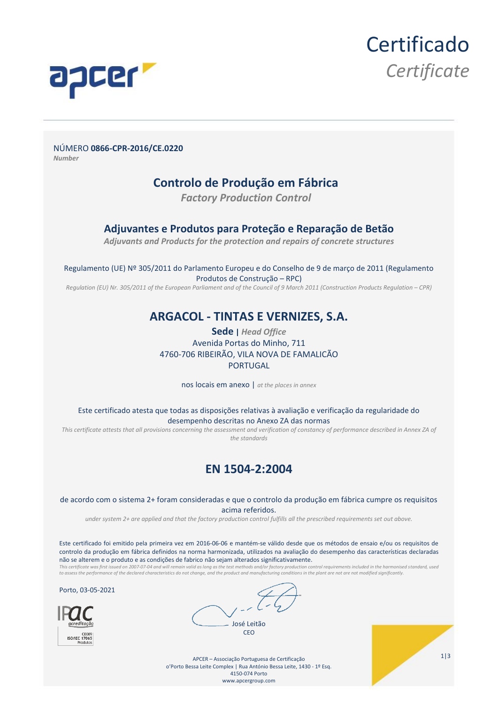

NÚMERO **0866-CPR-2016/CE.0220** *Number*

#### **Controlo de Produção em Fábrica**

*Factory Production Control*

#### **Adjuvantes e Produtos para Proteção e Reparação de Betão**

*Adjuvants and Products for the protection and repairs of concrete structures*

Regulamento (UE) Nº 305/2011 do Parlamento Europeu e do Conselho de 9 de março de 2011 (Regulamento Produtos de Construção – RPC)

*Regulation (EU) Nr. 305/2011 of the European Parliament and of the Council of 9 March 2011 (Construction Products Regulation – CPR)*

#### **ARGACOL - TINTAS E VERNIZES, S.A.**

**Sede |** *Head Office* Avenida Portas do Minho, 711 4760-706 RIBEIRÃO, VILA NOVA DE FAMALICÃO PORTUGAL

nos locais em anexo | *at the places in annex*

Este certificado atesta que todas as disposições relativas à avaliação e verificação da regularidade do desempenho descritas no Anexo ZA das normas

*This certificate attests that all provisions concerning the assessment and verification of constancy of performance described in Annex ZA of the standards*

#### **EN 1504-2:2004**

de acordo com o sistema 2+ foram consideradas e que o controlo da produção em fábrica cumpre os requisitos acima referidos.

*under system 2+ are applied and that the factory production control fulfills all the prescribed requirements set out above.*

Este certificado foi emitido pela primeira vez em 2016-06-06 e mantém-se válido desde que os métodos de ensaio e/ou os requisitos de controlo da produção em fábrica definidos na norma harmonizada, utilizados na avaliação do desempenho das características declaradas não se alterem e o produto e as condições de fabrico não sejam alterados significativamente.

This certificate was first issued on 2007-07-04 and will remain valid as long as the test methods and/or factory production control requirements included in the harmonised standard, used<br>to assess the performance of the de

Porto, 03-05-2021



APCER – Associação Portuguesa de Certificação o'Porto Bessa Leite Complex | Rua António Bessa Leite, 1430 - 1º Esq. 4150-074 Porto www.apcergroup.com

1|3

**Certificado** 

*Certificate*

José Leitão **CEO**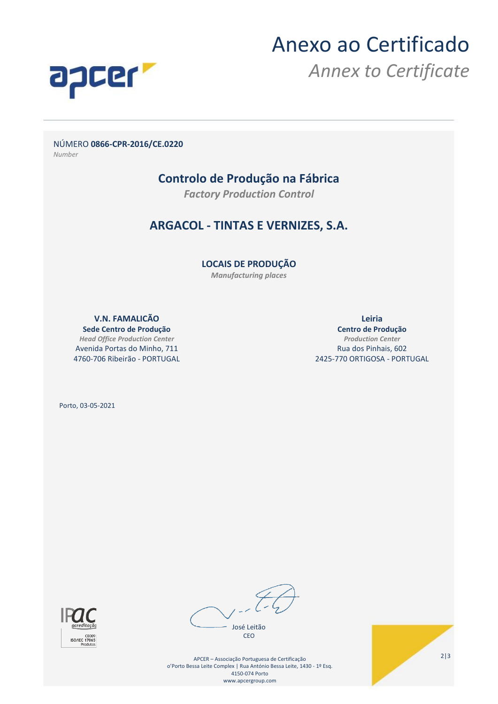

## Anexo ao Certificado

*Annex to Certificate*

NÚMERO **0866-CPR-2016/CE.0220**

*Number*

#### **Controlo de Produção na Fábrica**

*Factory Production Control*

#### **ARGACOL - TINTAS E VERNIZES, S.A.**

**LOCAIS DE PRODUÇÃO**

*Manufacturing places*

**V.N. FAMALICÃO** 

**Sede Centro de Produção** *Head Office Production Center* Avenida Portas do Minho, 711 4760-706 Ribeirão - PORTUGAL **Leiria**

**Centro de Produção** *Production Center* Rua dos Pinhais, 602 2425-770 ORTIGOSA - PORTUGAL

Porto, 03-05-2021



José Leitão CEO

APCER – Associação Portuguesa de Certificação o'Porto Bessa Leite Complex | Rua António Bessa Leite, 1430 - 1º Esq. 4150-074 Porto www.apcergroup.com